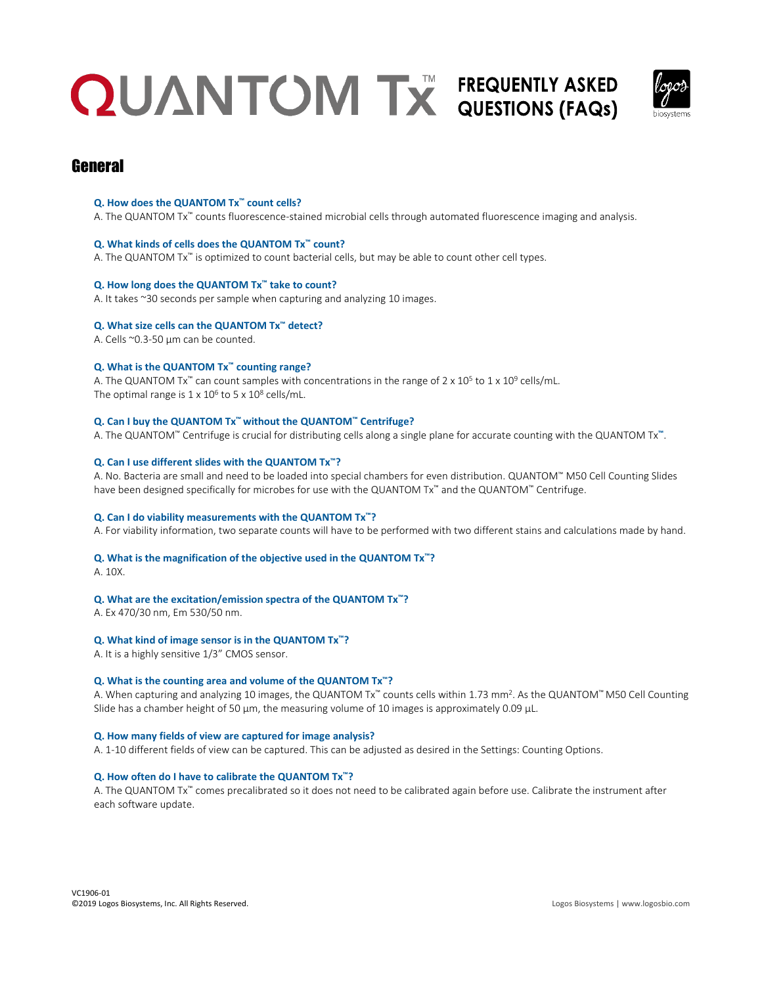

### **General**

#### **Q. How does the QUANTOM Tx™ count cells?**

A. The QUANTOM Tx™ counts fluorescence-stained microbial cells through automated fluorescence imaging and analysis.

#### **Q. What kinds of cells does the QUANTOM Tx™ count?**

A. The QUANTOM Tx<sup>™</sup> is optimized to count bacterial cells, but may be able to count other cell types.

#### **Q. How long does the QUANTOM Tx™ take to count?**

A. It takes ~30 seconds per sample when capturing and analyzing 10 images.

#### **Q. What size cells can the QUANTOM Tx™ detect?**

A. Cells ~0.3-50 µm can be counted.

#### **Q. What is the QUANTOM Tx™ counting range?**

A. The QUANTOM Tx<sup>™</sup> can count samples with concentrations in the range of 2 x 10<sup>5</sup> to 1 x 10<sup>9</sup> cells/mL. The optimal range is  $1 \times 10^6$  to 5 x  $10^8$  cells/mL.

#### **Q. Can I buy the QUANTOM Tx™ without the QUANTOM™ Centrifuge?**

A. The QUANTOM™ Centrifuge is crucial for distributing cells along a single plane for accurate counting with the QUANTOM Tx**™**.

#### **Q. Can I use different slides with the QUANTOM Tx™?**

A. No. Bacteria are small and need to be loaded into special chambers for even distribution. QUANTOM™ M50 Cell Counting Slides have been designed specifically for microbes for use with the QUANTOM Tx™ and the QUANTOM™ Centrifuge.

#### **Q. Can I do viability measurements with the QUANTOM Tx™?**

A. For viability information, two separate counts will have to be performed with two different stains and calculations made by hand.

#### **Q. What is the magnification of the objective used in the QUANTOM Tx™?**

A. 10X.

#### **Q. What are the excitation/emission spectra of the QUANTOM Tx™?**

A. Ex 470/30 nm, Em 530/50 nm.

#### **Q. What kind of image sensor is in the QUANTOM Tx™?**

A. It is a highly sensitive 1/3" CMOS sensor.

#### **Q. What is the counting area and volume of the QUANTOM Tx™?**

A. When capturing and analyzing 10 images, the QUANTOM Tx™ counts cells within 1.73 mm². As the QUANTOM™ M50 Cell Counting Slide has a chamber height of 50 µm, the measuring volume of 10 images is approximately 0.09 µL.

#### **Q. How many fields of view are captured for image analysis?**

A. 1-10 different fields of view can be captured. This can be adjusted as desired in the Settings: Counting Options.

#### **Q. How often do I have to calibrate the QUANTOM Tx™?**

A. The QUANTOM Tx™ comes precalibrated so it does not need to be calibrated again before use. Calibrate the instrument after each software update.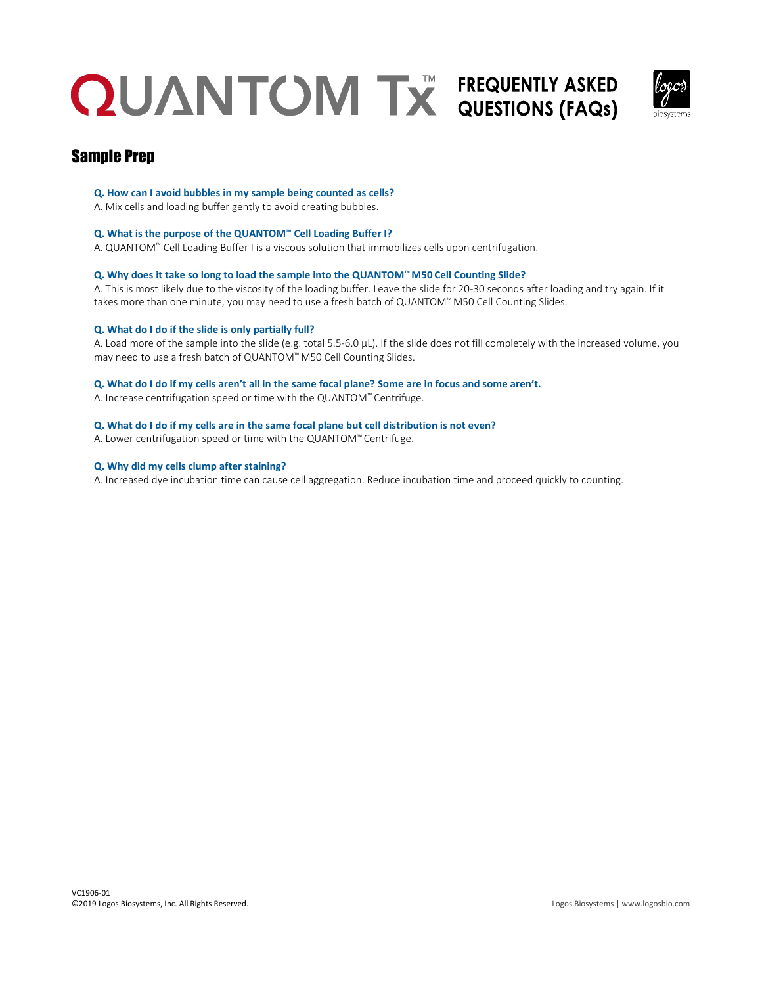

### Sample Prep

#### **Q. How can I avoid bubbles in my sample being counted as cells?**

## A. Mix cells and loading buffer gently to avoid creating bubbles.

#### **Q. What is the purpose of the QUANTOM™ Cell Loading Buffer I?**

A. QUANTOM™ Cell Loading Buffer I is a viscous solution that immobilizes cells upon centrifugation.

#### **Q. Why does it take so long to load the sample into the QUANTOM™ M50 Cell Counting Slide?**

A. This is most likely due to the viscosity of the loading buffer. Leave the slide for 20-30 seconds after loading and try again. If it takes more than one minute, you may need to use a fresh batch of QUANTOM™ M50 Cell Counting Slides.

#### **Q. What do I do if the slide is only partially full?**

A. Load more of the sample into the slide (e.g. total 5.5-6.0 µL). If the slide does not fill completely with the increased volume, you may need to use a fresh batch of QUANTOM™ M50 Cell Counting Slides.

#### **Q. What do I do if my cells aren't all in the same focal plane? Some are in focus and some aren't.**

A. Increase centrifugation speed or time with the QUANTOM™ Centrifuge.

#### **Q. What do I do if my cells are in the same focal plane but cell distribution is not even?**

A. Lower centrifugation speed or time with the QUANTOM™ Centrifuge.

#### **Q. Why did my cells clump after staining?**

A. Increased dye incubation time can cause cell aggregation. Reduce incubation time and proceed quickly to counting.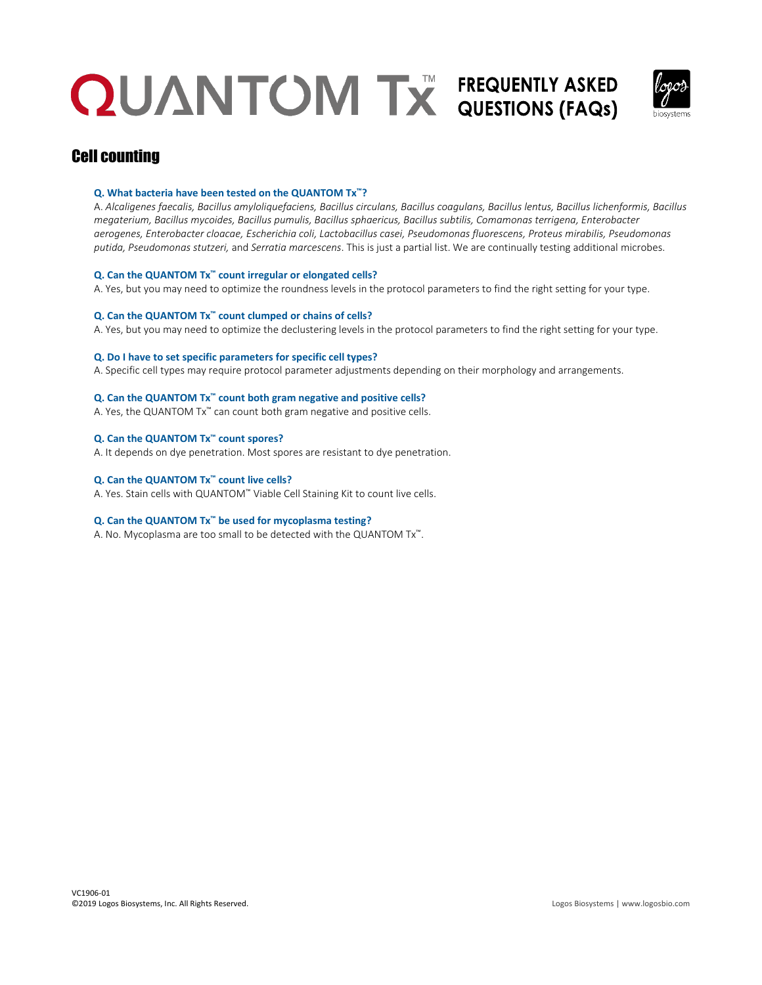

### Cell counting

#### **Q. What bacteria have been tested on the QUANTOM Tx™?**

A. *Alcaligenes faecalis, Bacillus amyloliquefaciens, Bacillus circulans, Bacillus coagulans, Bacillus lentus, Bacillus lichenformis, Bacillus megaterium, Bacillus mycoides, Bacillus pumulis, Bacillus sphaericus, Bacillus subtilis, Comamonas terrigena, Enterobacter aerogenes, Enterobacter cloacae, Escherichia coli, Lactobacillus casei, Pseudomonas fluorescens, Proteus mirabilis, Pseudomonas putida, Pseudomonas stutzeri,* and *Serratia marcescens*. This is just a partial list. We are continually testing additional microbes.

#### **Q. Can the QUANTOM Tx™ count irregular or elongated cells?**

A. Yes, but you may need to optimize the roundness levels in the protocol parameters to find the right setting for your type.

#### **Q. Can the QUANTOM Tx™ count clumped or chains of cells?**

A. Yes, but you may need to optimize the declustering levels in the protocol parameters to find the right setting for your type.

#### **Q. Do I have to set specific parameters for specific cell types?**

A. Specific cell types may require protocol parameter adjustments depending on their morphology and arrangements.

#### **Q. Can the QUANTOM Tx™ count both gram negative and positive cells?**

A. Yes, the QUANTOM Tx™ can count both gram negative and positive cells.

#### **Q. Can the QUANTOM Tx™ count spores?**

A. It depends on dye penetration. Most spores are resistant to dye penetration.

#### **Q. Can the QUANTOM Tx™ count live cells?**

A. Yes. Stain cells with QUANTOM™ Viable Cell Staining Kit to count live cells.

#### **Q. Can the QUANTOM Tx™ be used for mycoplasma testing?**

A. No. Mycoplasma are too small to be detected with the QUANTOM Tx™.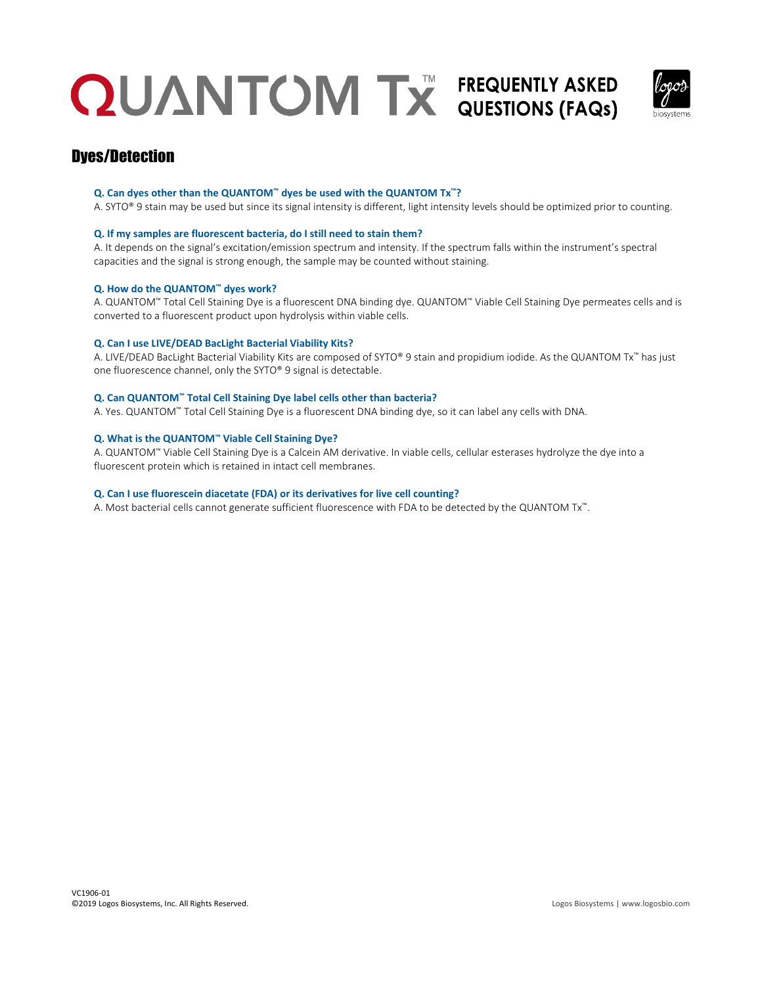

### Dyes/Detection

#### **Q. Can dyes other than the QUANTOM™ dyes be used with the QUANTOM Tx™?**

A. SYTO® 9 stain may be used but since its signal intensity is different, light intensity levels should be optimized prior to counting.

#### **Q. If my samples are fluorescent bacteria, do I still need to stain them?**

A. It depends on the signal's excitation/emission spectrum and intensity. If the spectrum falls within the instrument's spectral capacities and the signal is strong enough, the sample may be counted without staining.

#### **Q. How do the QUANTOM™ dyes work?**

A. QUANTOM™ Total Cell Staining Dye is a fluorescent DNA binding dye. QUANTOM™ Viable Cell Staining Dye permeates cells and is converted to a fluorescent product upon hydrolysis within viable cells.

#### **Q. Can I use LIVE/DEAD BacLight Bacterial Viability Kits?**

A. LIVE/DEAD BacLight Bacterial Viability Kits are composed of SYTO® 9 stain and propidium iodide. As the QUANTOM Tx™ has just one fluorescence channel, only the SYTO® 9 signal is detectable.

#### **Q. Can QUANTOM™ Total Cell Staining Dye label cells other than bacteria?**

A. Yes. QUANTOM™ Total Cell Staining Dye is a fluorescent DNA binding dye, so it can label any cells with DNA.

#### **Q. What is the QUANTOM™ Viable Cell Staining Dye?**

A. QUANTOM™ Viable Cell Staining Dye is a Calcein AM derivative. In viable cells, cellular esterases hydrolyze the dye into a fluorescent protein which is retained in intact cell membranes.

#### **Q. Can I use fluorescein diacetate (FDA) or its derivatives for live cell counting?**

A. Most bacterial cells cannot generate sufficient fluorescence with FDA to be detected by the QUANTOM Tx™.